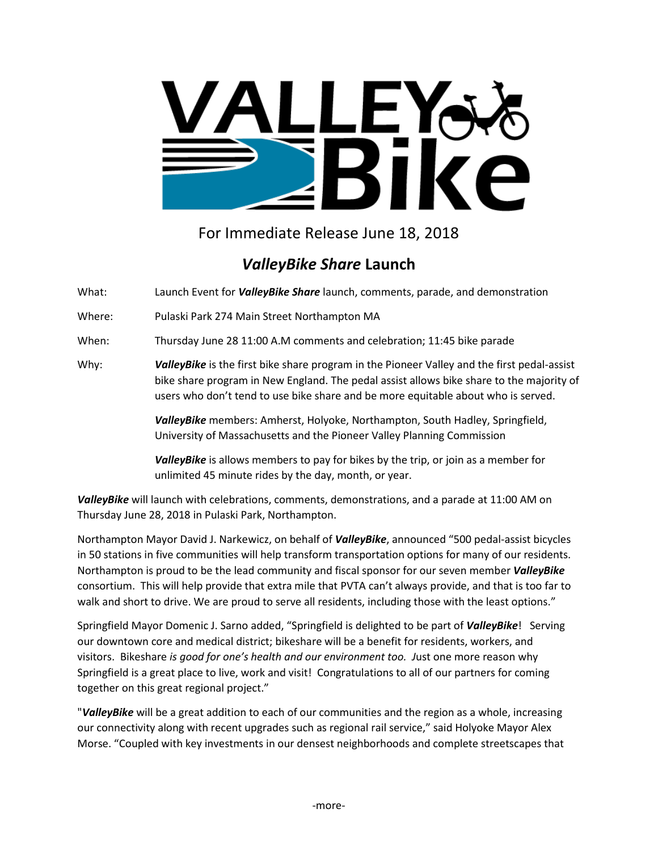

For Immediate Release June 18, 2018

## *ValleyBike Share* **Launch**

What: Launch Event for *ValleyBike Share* launch, comments, parade, and demonstration

Where: Pulaski Park 274 Main Street Northampton MA

When: Thursday June 28 11:00 A.M comments and celebration; 11:45 bike parade

Why: *ValleyBike* is the first bike share program in the Pioneer Valley and the first pedal-assist bike share program in New England. The pedal assist allows bike share to the majority of users who don't tend to use bike share and be more equitable about who is served.

> *ValleyBike* members: Amherst, Holyoke, Northampton, South Hadley, Springfield, University of Massachusetts and the Pioneer Valley Planning Commission

> *ValleyBike* is allows members to pay for bikes by the trip, or join as a member for unlimited 45 minute rides by the day, month, or year.

*ValleyBike* will launch with celebrations, comments, demonstrations, and a parade at 11:00 AM on Thursday June 28, 2018 in Pulaski Park, Northampton.

Northampton Mayor David J. Narkewicz, on behalf of *ValleyBike*, announced "500 pedal-assist bicycles in 50 stations in five communities will help transform transportation options for many of our residents. Northampton is proud to be the lead community and fiscal sponsor for our seven member *ValleyBike*  consortium. This will help provide that extra mile that PVTA can't always provide, and that is too far to walk and short to drive. We are proud to serve all residents, including those with the least options."

Springfield Mayor Domenic J. Sarno added, "Springfield is delighted to be part of *ValleyBike*! Serving our downtown core and medical district; bikeshare will be a benefit for residents, workers, and visitors. Bikeshare *is good for one's health and our environment too. J*ust one more reason why Springfield is a great place to live, work and visit! Congratulations to all of our partners for coming together on this great regional project."

"*ValleyBike* will be a great addition to each of our communities and the region as a whole, increasing our connectivity along with recent upgrades such as regional rail service," said Holyoke Mayor Alex Morse. "Coupled with key investments in our densest neighborhoods and complete streetscapes that